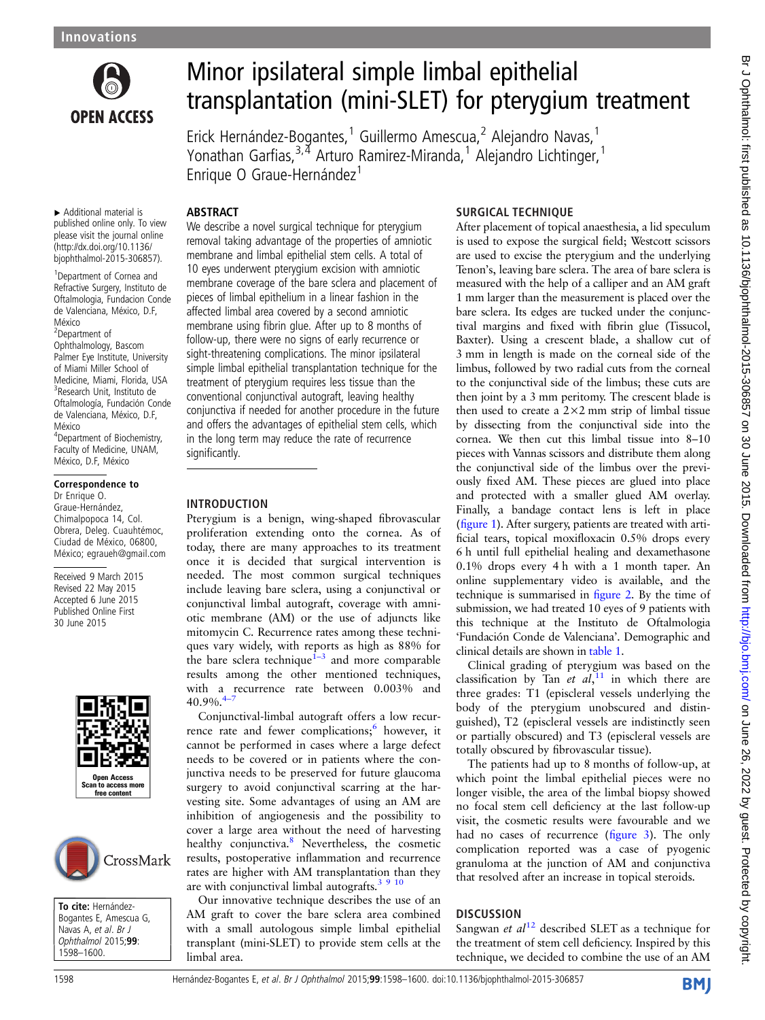

# Minor ipsilateral simple limbal epithelial transplantation (mini-SLET) for pterygium treatment

Erick Hernández-Bogantes,<sup>1</sup> Guillermo Amescua,<sup>2</sup> Alejandro Navas,<sup>1</sup> Yonathan Garfias,3,4 Arturo Ramirez-Miranda,<sup>1</sup> Alejandro Lichtinger,<sup>1</sup> Enrique O Graue-Hernández<sup>1</sup>

### ABSTRACT

▸ Additional material is published online only. To view please visit the journal online [\(http://dx.doi.org/10.1136/](http://dx.doi.org/10.1136/bjophthalmol-2015-306857) [bjophthalmol-2015-306857\)](http://dx.doi.org/10.1136/bjophthalmol-2015-306857).

<sup>1</sup> Department of Cornea and Refractive Surgery, Instituto de Oftalmologia, Fundacion Conde de Valenciana, México, D.F, México

2 Department of Ophthalmology, Bascom Palmer Eye Institute, University of Miami Miller School of Medicine, Miami, Florida, USA 3 Research Unit, Instituto de Oftalmología, Fundación Conde de Valenciana, México, D.F, México 4 Department of Biochemistry, Faculty of Medicine, UNAM,

# México, D.F, México

#### Correspondence to Dr Enrique O. Graue-Hernández, Chimalpopoca 14, Col. Obrera, Deleg. Cuauhtémoc, Ciudad de México, 06800, México; egraueh@gmail.com

Received 9 March 2015 Revised 22 May 2015 Accepted 6 June 2015 Published Online First 30 June 2015





To cite: Hernández-Bogantes E, Amescua G, Navas A, et al. Br J<br>Onhthalmol 2015:9 *Ophthalmol* 2015;**99**:<br>1598–1600 1598–1600.

We describe a novel surgical technique for pterygium removal taking advantage of the properties of amniotic membrane and limbal epithelial stem cells. A total of 10 eyes underwent pterygium excision with amniotic membrane coverage of the bare sclera and placement of pieces of limbal epithelium in a linear fashion in the affected limbal area covered by a second amniotic membrane using fibrin glue. After up to 8 months of follow-up, there were no signs of early recurrence or sight-threatening complications. The minor ipsilateral simple limbal epithelial transplantation technique for the treatment of pterygium requires less tissue than the conventional conjunctival autograft, leaving healthy conjunctiva if needed for another procedure in the future and offers the advantages of epithelial stem cells, which in the long term may reduce the rate of recurrence significantly.

#### INTRODUCTION

Pterygium is a benign, wing-shaped fibrovascular proliferation extending onto the cornea. As of today, there are many approaches to its treatment once it is decided that surgical intervention is needed. The most common surgical techniques include leaving bare sclera, using a conjunctival or conjunctival limbal autograft, coverage with amniotic membrane (AM) or the use of adjuncts like mitomycin C. Recurrence rates among these techniques vary widely, with reports as high as 88% for the bare sclera technique<sup> $1-3$  $1-3$ </sup> and more comparable results among the other mentioned techniques, with a recurrence rate between 0.003% and 40.9%.<sup>4</sup>

Conjunctival-limbal autograft offers a low recurrence rate and fewer complications; $\frac{6}{1}$  however, it cannot be performed in cases where a large defect needs to be covered or in patients where the conjunctiva needs to be preserved for future glaucoma surgery to avoid conjunctival scarring at the harvesting site. Some advantages of using an AM are inhibition of angiogenesis and the possibility to cover a large area without the need of harvesting healthy conjunctiva.<sup>[8](#page-2-0)</sup> Nevertheless, the cosmetic results, postoperative inflammation and recurrence rates are higher with AM transplantation than they are with conjunctival limbal autografts. $3910$ 

Our innovative technique describes the use of an AM graft to cover the bare sclera area combined with a small autologous simple limbal epithelial transplant (mini-SLET) to provide stem cells at the limbal area.

### SURGICAL TECHNIQUE

After placement of topical anaesthesia, a lid speculum is used to expose the surgical field; Westcott scissors are used to excise the pterygium and the underlying Tenon's, leaving bare sclera. The area of bare sclera is measured with the help of a calliper and an AM graft 1 mm larger than the measurement is placed over the bare sclera. Its edges are tucked under the conjunctival margins and fixed with fibrin glue (Tissucol, Baxter). Using a crescent blade, a shallow cut of 3 mm in length is made on the corneal side of the limbus, followed by two radial cuts from the corneal to the conjunctival side of the limbus; these cuts are then joint by a 3 mm peritomy. The crescent blade is then used to create a  $2 \times 2$  mm strip of limbal tissue by dissecting from the conjunctival side into the cornea. We then cut this limbal tissue into 8–10 pieces with Vannas scissors and distribute them along the conjunctival side of the limbus over the previously fixed AM. These pieces are glued into place and protected with a smaller glued AM overlay. Finally, a bandage contact lens is left in place (fi[gure 1](#page-1-0)). After surgery, patients are treated with artificial tears, topical moxifloxacin 0.5% drops every 6 h until full epithelial healing and dexamethasone 0.1% drops every 4 h with a 1 month taper. An online supplementary video is available, and the technique is summarised in fi[gure 2.](#page-1-0) By the time of submission, we had treated 10 eyes of 9 patients with this technique at the Instituto de Oftalmologia 'Fundación Conde de Valenciana'. Demographic and clinical details are shown in [table 1.](#page-1-0)

Clinical grading of pterygium was based on the classification by Tan et  $al$ ,<sup>[11](#page-2-0)</sup> in which there are three grades: T1 (episcleral vessels underlying the body of the pterygium unobscured and distinguished), T2 (episcleral vessels are indistinctly seen or partially obscured) and T3 (episcleral vessels are totally obscured by fibrovascular tissue).

The patients had up to 8 months of follow-up, at which point the limbal epithelial pieces were no longer visible, the area of the limbal biopsy showed no focal stem cell deficiency at the last follow-up visit, the cosmetic results were favourable and we had no cases of recurrence (fi[gure 3](#page-2-0)). The only complication reported was a case of pyogenic granuloma at the junction of AM and conjunctiva that resolved after an increase in topical steroids.

## **DISCUSSION**

Sangwan et  $al^{12}$  $al^{12}$  $al^{12}$  described SLET as a technique for the treatment of stem cell deficiency. Inspired by this technique, we decided to combine the use of an AM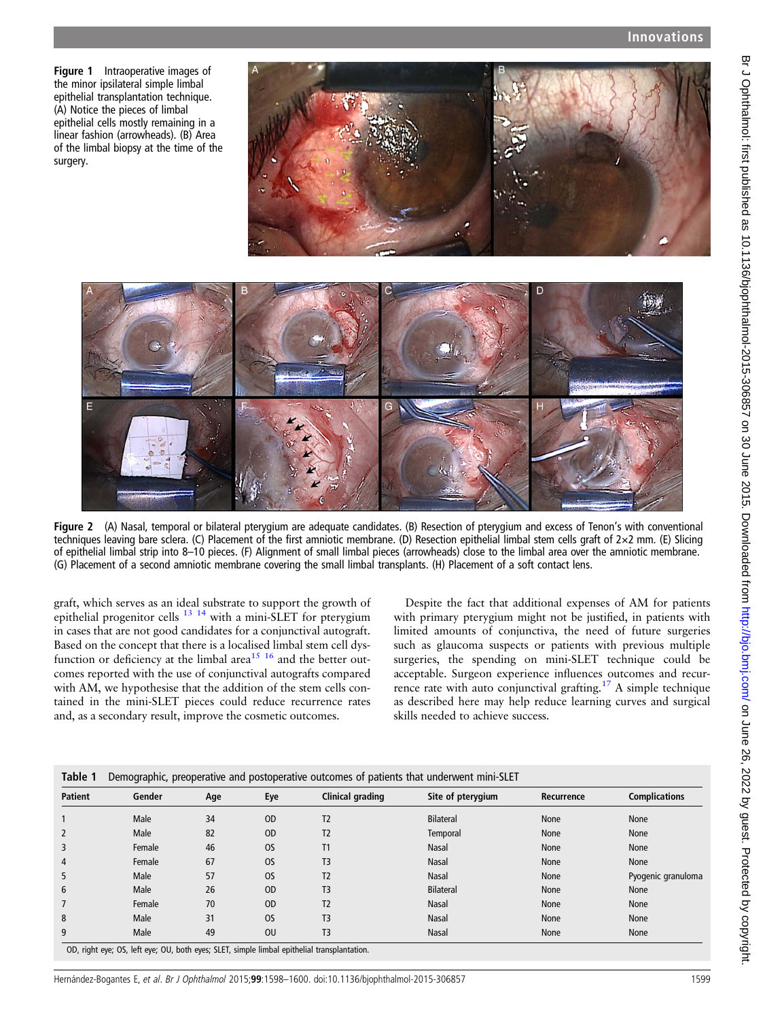<span id="page-1-0"></span>Figure 1 Intraoperative images of the minor ipsilateral simple limbal epithelial transplantation technique. (A) Notice the pieces of limbal epithelial cells mostly remaining in a linear fashion (arrowheads). (B) Area of the limbal biopsy at the time of the surgery.

E



Figure 2 (A) Nasal, temporal or bilateral pterygium are adequate candidates. (B) Resection of pterygium and excess of Tenon's with conventional techniques leaving bare sclera. (C) Placement of the first amniotic membrane. (D) Resection epithelial limbal stem cells graft of 2×2 mm. (E) Slicing of epithelial limbal strip into 8–10 pieces. (F) Alignment of small limbal pieces (arrowheads) close to the limbal area over the amniotic membrane. (G) Placement of a second amniotic membrane covering the small limbal transplants. (H) Placement of a soft contact lens.

graft, which serves as an ideal substrate to support the growth of epithelial progenitor cells  $^{13}$  <sup>14</sup> with a mini-SLET for pterygium in cases that are not good candidates for a conjunctival autograft. Based on the concept that there is a localised limbal stem cell dysfunction or deficiency at the limbal area<sup>15 16</sup> and the better outcomes reported with the use of conjunctival autografts compared with AM, we hypothesise that the addition of the stem cells contained in the mini-SLET pieces could reduce recurrence rates and, as a secondary result, improve the cosmetic outcomes.

Despite the fact that additional expenses of AM for patients with primary pterygium might not be justified, in patients with limited amounts of conjunctiva, the need of future surgeries such as glaucoma suspects or patients with previous multiple surgeries, the spending on mini-SLET technique could be acceptable. Surgeon experience influences outcomes and recurrence rate with auto conjunctival grafting.[17](#page-2-0) A simple technique as described here may help reduce learning curves and surgical skills needed to achieve success.

| <b>Patient</b> | Gender | Age | Eye           | Clinical grading | Site of pterygium | Recurrence | <b>Complications</b> |
|----------------|--------|-----|---------------|------------------|-------------------|------------|----------------------|
|                | Male   | 34  | <sub>OD</sub> | T <sub>2</sub>   | <b>Bilateral</b>  | None       | None                 |
| 2              | Male   | 82  | <sub>OD</sub> | T2               | Temporal          | None       | None                 |
| 3              | Female | 46  | <b>OS</b>     | T1               | Nasal             | None       | None                 |
| 4              | Female | 67  | <b>OS</b>     | T <sub>3</sub>   | Nasal             | None       | None                 |
| 5              | Male   | 57  | <b>OS</b>     | T <sub>2</sub>   | Nasal             | None       | Pyogenic granuloma   |
| 6              | Male   | 26  | <sub>OD</sub> | T <sub>3</sub>   | <b>Bilateral</b>  | None       | None                 |
|                | Female | 70  | <sub>OD</sub> | T2               | Nasal             | None       | None                 |
| 8              | Male   | 31  | <b>OS</b>     | T3               | <b>Nasal</b>      | None       | None                 |
| 9              | Male   | 49  | <b>OU</b>     | T <sub>3</sub>   | Nasal             | None       | None                 |

)D, right eye; OS, left eye; OU, both eyes; SLET, simple limbal epithelial transp